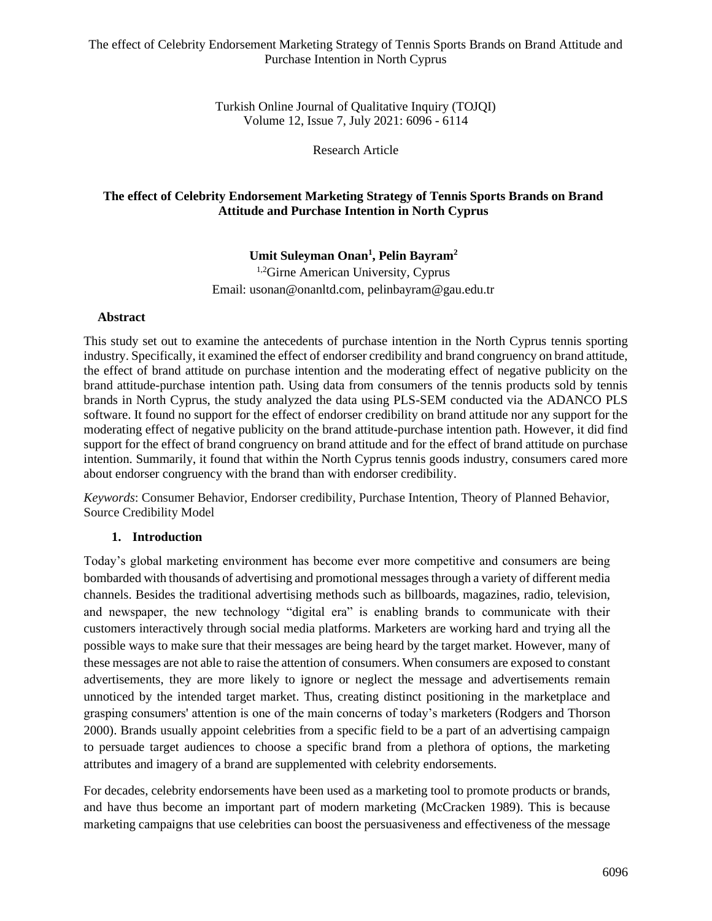Turkish Online Journal of Qualitative Inquiry (TOJQI) Volume 12, Issue 7, July 2021: 6096 - 6114

Research Article

# **The effect of Celebrity Endorsement Marketing Strategy of Tennis Sports Brands on Brand Attitude and Purchase Intention in North Cyprus**

## **Umit Suleyman Onan<sup>1</sup> , Pelin Bayram<sup>2</sup>**

<sup>1,2</sup>Girne American University, Cyprus Email: usonan@onanltd.com, pelinbayram@gau.edu.tr

## **Abstract**

This study set out to examine the antecedents of purchase intention in the North Cyprus tennis sporting industry. Specifically, it examined the effect of endorser credibility and brand congruency on brand attitude, the effect of brand attitude on purchase intention and the moderating effect of negative publicity on the brand attitude-purchase intention path. Using data from consumers of the tennis products sold by tennis brands in North Cyprus, the study analyzed the data using PLS-SEM conducted via the ADANCO PLS software. It found no support for the effect of endorser credibility on brand attitude nor any support for the moderating effect of negative publicity on the brand attitude-purchase intention path. However, it did find support for the effect of brand congruency on brand attitude and for the effect of brand attitude on purchase intention. Summarily, it found that within the North Cyprus tennis goods industry, consumers cared more about endorser congruency with the brand than with endorser credibility.

*Keywords*: Consumer Behavior, Endorser credibility, Purchase Intention, Theory of Planned Behavior, Source Credibility Model

# **1. Introduction**

Today's global marketing environment has become ever more competitive and consumers are being bombarded with thousands of advertising and promotional messages through a variety of different media channels. Besides the traditional advertising methods such as billboards, magazines, radio, television, and newspaper, the new technology "digital era" is enabling brands to communicate with their customers interactively through social media platforms. Marketers are working hard and trying all the possible ways to make sure that their messages are being heard by the target market. However, many of these messages are not able to raise the attention of consumers. When consumers are exposed to constant advertisements, they are more likely to ignore or neglect the message and advertisements remain unnoticed by the intended target market. Thus, creating distinct positioning in the marketplace and grasping consumers' attention is one of the main concerns of today's marketers (Rodgers and Thorson 2000). Brands usually appoint celebrities from a specific field to be a part of an advertising campaign to persuade target audiences to choose a specific brand from a plethora of options, the marketing attributes and imagery of a brand are supplemented with celebrity endorsements.

For decades, celebrity endorsements have been used as a marketing tool to promote products or brands, and have thus become an important part of modern marketing (McCracken 1989). This is because marketing campaigns that use celebrities can boost the persuasiveness and effectiveness of the message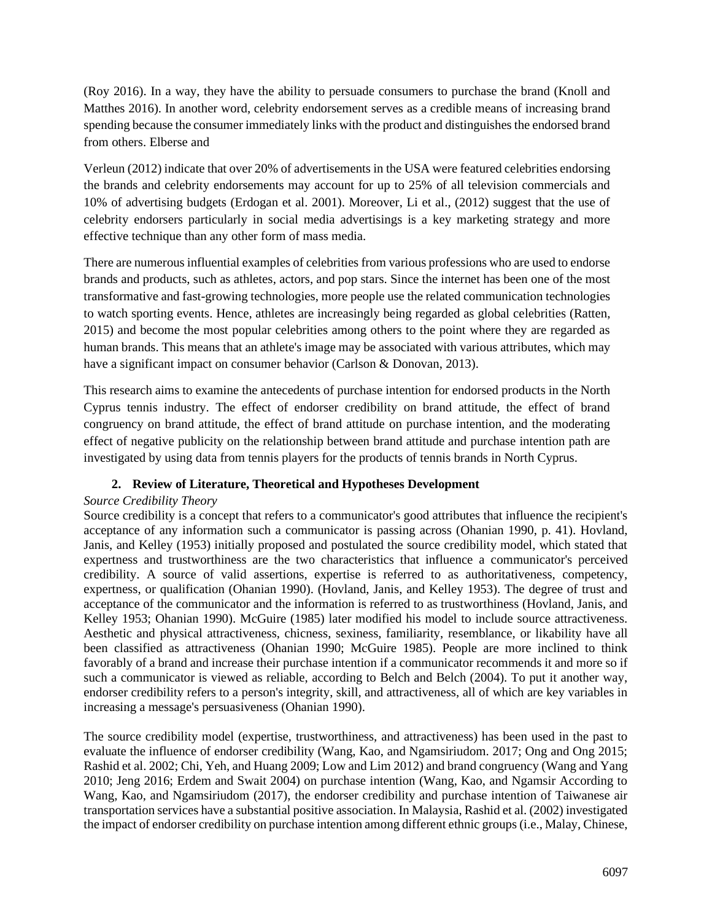(Roy 2016). In a way, they have the ability to persuade consumers to purchase the brand (Knoll and Matthes 2016). In another word, celebrity endorsement serves as a credible means of increasing brand spending because the consumer immediately links with the product and distinguishes the endorsed brand from others. Elberse and

Verleun (2012) indicate that over 20% of advertisements in the USA were featured celebrities endorsing the brands and celebrity endorsements may account for up to 25% of all television commercials and 10% of advertising budgets (Erdogan et al. 2001). Moreover, Li et al., (2012) suggest that the use of celebrity endorsers particularly in social media advertisings is a key marketing strategy and more effective technique than any other form of mass media.

There are numerous influential examples of celebrities from various professions who are used to endorse brands and products, such as athletes, actors, and pop stars. Since the internet has been one of the most transformative and fast-growing technologies, more people use the related communication technologies to watch sporting events. Hence, athletes are increasingly being regarded as global celebrities (Ratten, 2015) and become the most popular celebrities among others to the point where they are regarded as human brands. This means that an athlete's image may be associated with various attributes, which may have a significant impact on consumer behavior (Carlson & Donovan, 2013).

This research aims to examine the antecedents of purchase intention for endorsed products in the North Cyprus tennis industry. The effect of endorser credibility on brand attitude, the effect of brand congruency on brand attitude, the effect of brand attitude on purchase intention, and the moderating effect of negative publicity on the relationship between brand attitude and purchase intention path are investigated by using data from tennis players for the products of tennis brands in North Cyprus.

# **2. Review of Literature, Theoretical and Hypotheses Development**

# *Source Credibility Theory*

Source credibility is a concept that refers to a communicator's good attributes that influence the recipient's acceptance of any information such a communicator is passing across (Ohanian 1990, p. 41). Hovland, Janis, and Kelley (1953) initially proposed and postulated the source credibility model, which stated that expertness and trustworthiness are the two characteristics that influence a communicator's perceived credibility. A source of valid assertions, expertise is referred to as authoritativeness, competency, expertness, or qualification (Ohanian 1990). (Hovland, Janis, and Kelley 1953). The degree of trust and acceptance of the communicator and the information is referred to as trustworthiness (Hovland, Janis, and Kelley 1953; Ohanian 1990). McGuire (1985) later modified his model to include source attractiveness. Aesthetic and physical attractiveness, chicness, sexiness, familiarity, resemblance, or likability have all been classified as attractiveness (Ohanian 1990; McGuire 1985). People are more inclined to think favorably of a brand and increase their purchase intention if a communicator recommends it and more so if such a communicator is viewed as reliable, according to Belch and Belch (2004). To put it another way, endorser credibility refers to a person's integrity, skill, and attractiveness, all of which are key variables in increasing a message's persuasiveness (Ohanian 1990).

The source credibility model (expertise, trustworthiness, and attractiveness) has been used in the past to evaluate the influence of endorser credibility (Wang, Kao, and Ngamsiriudom. 2017; Ong and Ong 2015; Rashid et al. 2002; Chi, Yeh, and Huang 2009; Low and Lim 2012) and brand congruency (Wang and Yang 2010; Jeng 2016; Erdem and Swait 2004) on purchase intention (Wang, Kao, and Ngamsir According to Wang, Kao, and Ngamsiriudom (2017), the endorser credibility and purchase intention of Taiwanese air transportation services have a substantial positive association. In Malaysia, Rashid et al. (2002) investigated the impact of endorser credibility on purchase intention among different ethnic groups (i.e., Malay, Chinese,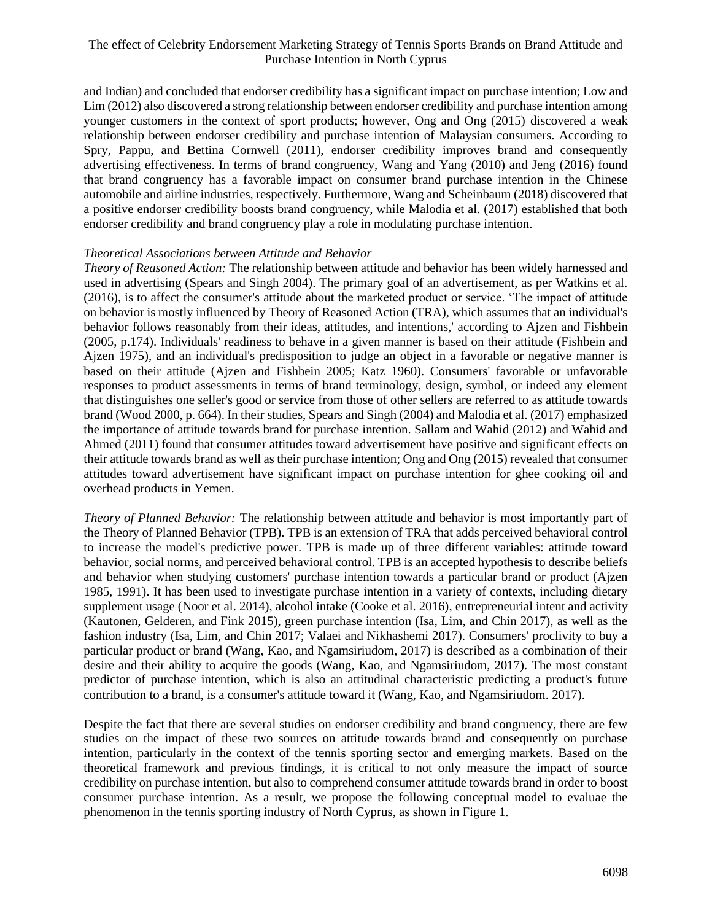and Indian) and concluded that endorser credibility has a significant impact on purchase intention; Low and Lim (2012) also discovered a strong relationship between endorser credibility and purchase intention among younger customers in the context of sport products; however, Ong and Ong (2015) discovered a weak relationship between endorser credibility and purchase intention of Malaysian consumers. According to Spry, Pappu, and Bettina Cornwell (2011), endorser credibility improves brand and consequently advertising effectiveness. In terms of brand congruency, Wang and Yang (2010) and Jeng (2016) found that brand congruency has a favorable impact on consumer brand purchase intention in the Chinese automobile and airline industries, respectively. Furthermore, Wang and Scheinbaum (2018) discovered that a positive endorser credibility boosts brand congruency, while Malodia et al. (2017) established that both endorser credibility and brand congruency play a role in modulating purchase intention.

#### *Theoretical Associations between Attitude and Behavior*

*Theory of Reasoned Action:* The relationship between attitude and behavior has been widely harnessed and used in advertising (Spears and Singh 2004). The primary goal of an advertisement, as per Watkins et al. (2016), is to affect the consumer's attitude about the marketed product or service. 'The impact of attitude on behavior is mostly influenced by Theory of Reasoned Action (TRA), which assumes that an individual's behavior follows reasonably from their ideas, attitudes, and intentions,' according to Ajzen and Fishbein (2005, p.174). Individuals' readiness to behave in a given manner is based on their attitude (Fishbein and Ajzen 1975), and an individual's predisposition to judge an object in a favorable or negative manner is based on their attitude (Ajzen and Fishbein 2005; Katz 1960). Consumers' favorable or unfavorable responses to product assessments in terms of brand terminology, design, symbol, or indeed any element that distinguishes one seller's good or service from those of other sellers are referred to as attitude towards brand (Wood 2000, p. 664). In their studies, Spears and Singh (2004) and Malodia et al. (2017) emphasized the importance of attitude towards brand for purchase intention. Sallam and Wahid (2012) and Wahid and Ahmed (2011) found that consumer attitudes toward advertisement have positive and significant effects on their attitude towards brand as well as their purchase intention; Ong and Ong (2015) revealed that consumer attitudes toward advertisement have significant impact on purchase intention for ghee cooking oil and overhead products in Yemen.

*Theory of Planned Behavior:* The relationship between attitude and behavior is most importantly part of the Theory of Planned Behavior (TPB). TPB is an extension of TRA that adds perceived behavioral control to increase the model's predictive power. TPB is made up of three different variables: attitude toward behavior, social norms, and perceived behavioral control. TPB is an accepted hypothesis to describe beliefs and behavior when studying customers' purchase intention towards a particular brand or product (Ajzen 1985, 1991). It has been used to investigate purchase intention in a variety of contexts, including dietary supplement usage (Noor et al. 2014), alcohol intake (Cooke et al. 2016), entrepreneurial intent and activity (Kautonen, Gelderen, and Fink 2015), green purchase intention (Isa, Lim, and Chin 2017), as well as the fashion industry (Isa, Lim, and Chin 2017; Valaei and Nikhashemi 2017). Consumers' proclivity to buy a particular product or brand (Wang, Kao, and Ngamsiriudom, 2017) is described as a combination of their desire and their ability to acquire the goods (Wang, Kao, and Ngamsiriudom, 2017). The most constant predictor of purchase intention, which is also an attitudinal characteristic predicting a product's future contribution to a brand, is a consumer's attitude toward it (Wang, Kao, and Ngamsiriudom. 2017).

Despite the fact that there are several studies on endorser credibility and brand congruency, there are few studies on the impact of these two sources on attitude towards brand and consequently on purchase intention, particularly in the context of the tennis sporting sector and emerging markets. Based on the theoretical framework and previous findings, it is critical to not only measure the impact of source credibility on purchase intention, but also to comprehend consumer attitude towards brand in order to boost consumer purchase intention. As a result, we propose the following conceptual model to evaluae the phenomenon in the tennis sporting industry of North Cyprus, as shown in Figure 1.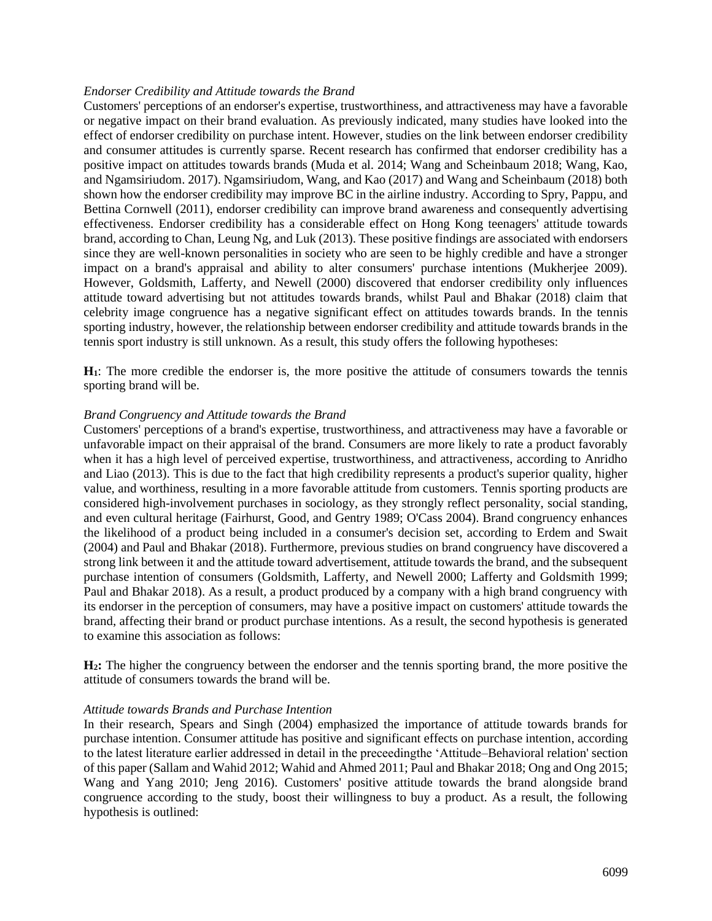#### *Endorser Credibility and Attitude towards the Brand*

Customers' perceptions of an endorser's expertise, trustworthiness, and attractiveness may have a favorable or negative impact on their brand evaluation. As previously indicated, many studies have looked into the effect of endorser credibility on purchase intent. However, studies on the link between endorser credibility and consumer attitudes is currently sparse. Recent research has confirmed that endorser credibility has a positive impact on attitudes towards brands (Muda et al. 2014; Wang and Scheinbaum 2018; Wang, Kao, and Ngamsiriudom. 2017). Ngamsiriudom, Wang, and Kao (2017) and Wang and Scheinbaum (2018) both shown how the endorser credibility may improve BC in the airline industry. According to Spry, Pappu, and Bettina Cornwell (2011), endorser credibility can improve brand awareness and consequently advertising effectiveness. Endorser credibility has a considerable effect on Hong Kong teenagers' attitude towards brand, according to Chan, Leung Ng, and Luk (2013). These positive findings are associated with endorsers since they are well-known personalities in society who are seen to be highly credible and have a stronger impact on a brand's appraisal and ability to alter consumers' purchase intentions (Mukherjee 2009). However, Goldsmith, Lafferty, and Newell (2000) discovered that endorser credibility only influences attitude toward advertising but not attitudes towards brands, whilst Paul and Bhakar (2018) claim that celebrity image congruence has a negative significant effect on attitudes towards brands. In the tennis sporting industry, however, the relationship between endorser credibility and attitude towards brands in the tennis sport industry is still unknown. As a result, this study offers the following hypotheses:

**H1**: The more credible the endorser is, the more positive the attitude of consumers towards the tennis sporting brand will be.

#### *Brand Congruency and Attitude towards the Brand*

Customers' perceptions of a brand's expertise, trustworthiness, and attractiveness may have a favorable or unfavorable impact on their appraisal of the brand. Consumers are more likely to rate a product favorably when it has a high level of perceived expertise, trustworthiness, and attractiveness, according to Anridho and Liao (2013). This is due to the fact that high credibility represents a product's superior quality, higher value, and worthiness, resulting in a more favorable attitude from customers. Tennis sporting products are considered high-involvement purchases in sociology, as they strongly reflect personality, social standing, and even cultural heritage (Fairhurst, Good, and Gentry 1989; O'Cass 2004). Brand congruency enhances the likelihood of a product being included in a consumer's decision set, according to Erdem and Swait (2004) and Paul and Bhakar (2018). Furthermore, previous studies on brand congruency have discovered a strong link between it and the attitude toward advertisement, attitude towards the brand, and the subsequent purchase intention of consumers (Goldsmith, Lafferty, and Newell 2000; Lafferty and Goldsmith 1999; Paul and Bhakar 2018). As a result, a product produced by a company with a high brand congruency with its endorser in the perception of consumers, may have a positive impact on customers' attitude towards the brand, affecting their brand or product purchase intentions. As a result, the second hypothesis is generated to examine this association as follows:

**H2:** The higher the congruency between the endorser and the tennis sporting brand, the more positive the attitude of consumers towards the brand will be.

#### *Attitude towards Brands and Purchase Intention*

In their research, Spears and Singh (2004) emphasized the importance of attitude towards brands for purchase intention. Consumer attitude has positive and significant effects on purchase intention, according to the latest literature earlier addressed in detail in the preceedingthe 'Attitude–Behavioral relation' section of this paper (Sallam and Wahid 2012; Wahid and Ahmed 2011; Paul and Bhakar 2018; Ong and Ong 2015; Wang and Yang 2010; Jeng 2016). Customers' positive attitude towards the brand alongside brand congruence according to the study, boost their willingness to buy a product. As a result, the following hypothesis is outlined: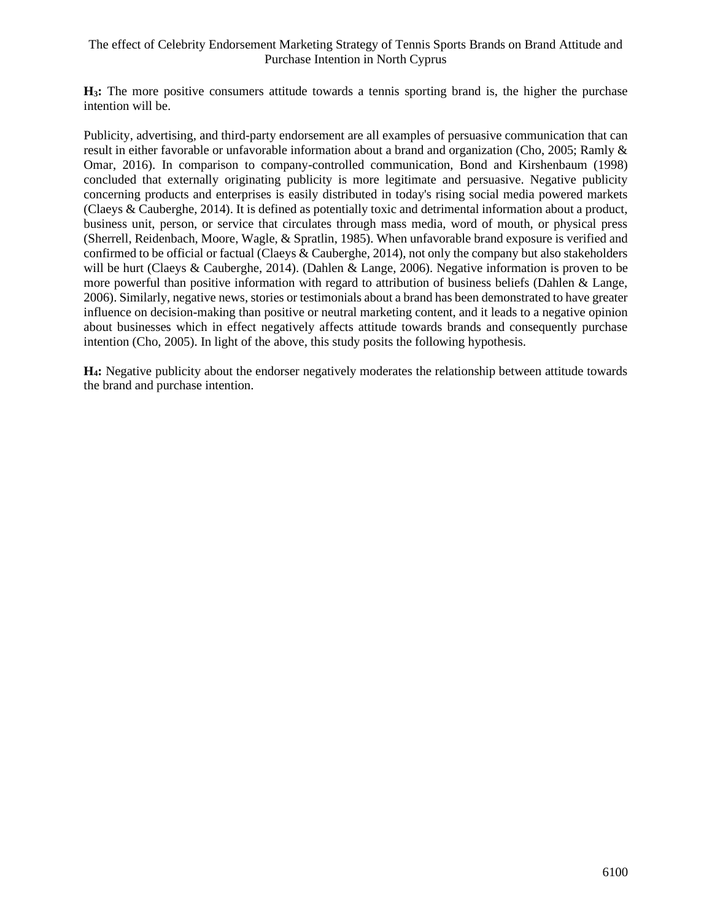**H3:** The more positive consumers attitude towards a tennis sporting brand is, the higher the purchase intention will be.

Publicity, advertising, and third-party endorsement are all examples of persuasive communication that can result in either favorable or unfavorable information about a brand and organization (Cho, 2005; Ramly & Omar, 2016). In comparison to company-controlled communication, Bond and Kirshenbaum (1998) concluded that externally originating publicity is more legitimate and persuasive. Negative publicity concerning products and enterprises is easily distributed in today's rising social media powered markets (Claeys & Cauberghe, 2014). It is defined as potentially toxic and detrimental information about a product, business unit, person, or service that circulates through mass media, word of mouth, or physical press (Sherrell, Reidenbach, Moore, Wagle, & Spratlin, 1985). When unfavorable brand exposure is verified and confirmed to be official or factual (Claeys  $\&$  Cauberghe, 2014), not only the company but also stakeholders will be hurt (Claeys & Cauberghe, 2014). (Dahlen & Lange, 2006). Negative information is proven to be more powerful than positive information with regard to attribution of business beliefs (Dahlen & Lange, 2006). Similarly, negative news, stories or testimonials about a brand has been demonstrated to have greater influence on decision-making than positive or neutral marketing content, and it leads to a negative opinion about businesses which in effect negatively affects attitude towards brands and consequently purchase intention (Cho, 2005). In light of the above, this study posits the following hypothesis.

**H4:** Negative publicity about the endorser negatively moderates the relationship between attitude towards the brand and purchase intention.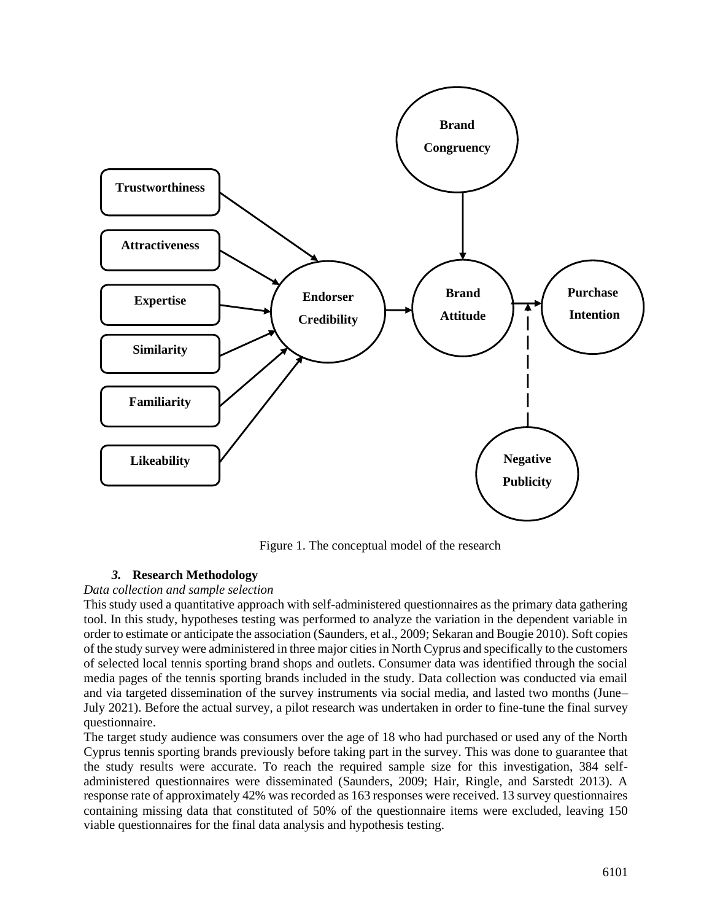

Figure 1. The conceptual model of the research

# *3.* **Research Methodology**

### *Data collection and sample selection*

This study used a quantitative approach with self-administered questionnaires as the primary data gathering tool. In this study, hypotheses testing was performed to analyze the variation in the dependent variable in order to estimate or anticipate the association (Saunders, et al., 2009; Sekaran and Bougie 2010). Soft copies of the study survey were administered in three major cities in North Cyprus and specifically to the customers of selected local tennis sporting brand shops and outlets. Consumer data was identified through the social media pages of the tennis sporting brands included in the study. Data collection was conducted via email and via targeted dissemination of the survey instruments via social media, and lasted two months (June– July 2021). Before the actual survey, a pilot research was undertaken in order to fine-tune the final survey questionnaire.

The target study audience was consumers over the age of 18 who had purchased or used any of the North Cyprus tennis sporting brands previously before taking part in the survey. This was done to guarantee that the study results were accurate. To reach the required sample size for this investigation, 384 selfadministered questionnaires were disseminated (Saunders, 2009; Hair, Ringle, and Sarstedt 2013). A response rate of approximately 42% was recorded as 163 responses were received. 13 survey questionnaires containing missing data that constituted of 50% of the questionnaire items were excluded, leaving 150 viable questionnaires for the final data analysis and hypothesis testing.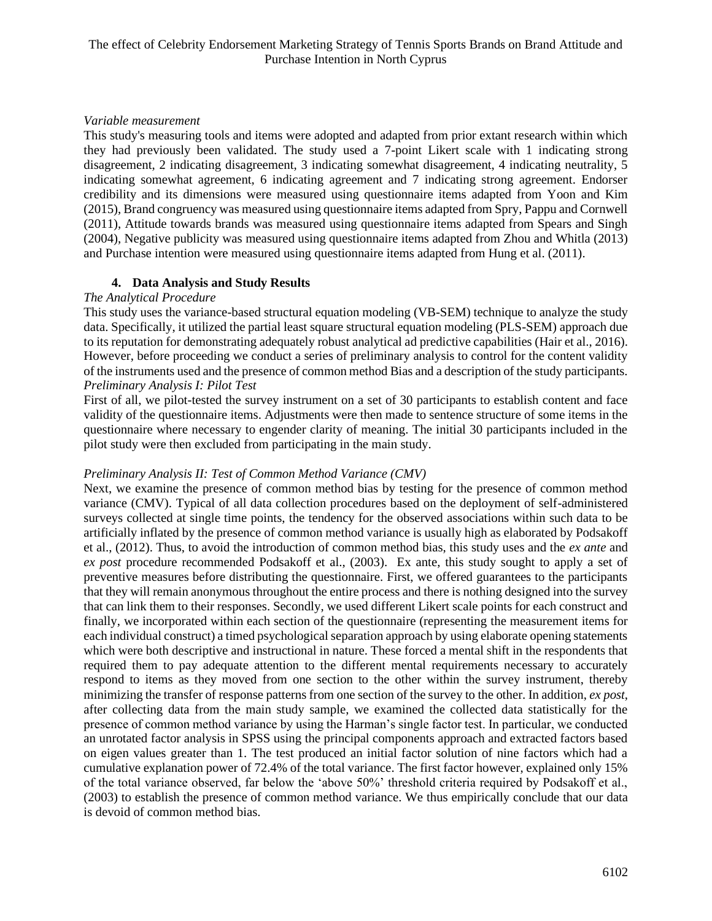## *Variable measurement*

This study's measuring tools and items were adopted and adapted from prior extant research within which they had previously been validated. The study used a 7-point Likert scale with 1 indicating strong disagreement, 2 indicating disagreement, 3 indicating somewhat disagreement, 4 indicating neutrality, 5 indicating somewhat agreement, 6 indicating agreement and 7 indicating strong agreement. Endorser credibility and its dimensions were measured using questionnaire items adapted from Yoon and Kim (2015), Brand congruency was measured using questionnaire items adapted from Spry, Pappu and Cornwell (2011), Attitude towards brands was measured using questionnaire items adapted from Spears and Singh (2004), Negative publicity was measured using questionnaire items adapted from Zhou and Whitla (2013) and Purchase intention were measured using questionnaire items adapted from Hung et al. (2011).

# **4. Data Analysis and Study Results**

### *The Analytical Procedure*

This study uses the variance-based structural equation modeling (VB-SEM) technique to analyze the study data. Specifically, it utilized the partial least square structural equation modeling (PLS-SEM) approach due to its reputation for demonstrating adequately robust analytical ad predictive capabilities (Hair et al., 2016). However, before proceeding we conduct a series of preliminary analysis to control for the content validity of the instruments used and the presence of common method Bias and a description of the study participants. *Preliminary Analysis I: Pilot Test*

First of all, we pilot-tested the survey instrument on a set of 30 participants to establish content and face validity of the questionnaire items. Adjustments were then made to sentence structure of some items in the questionnaire where necessary to engender clarity of meaning. The initial 30 participants included in the pilot study were then excluded from participating in the main study.

# *Preliminary Analysis II: Test of Common Method Variance (CMV)*

Next, we examine the presence of common method bias by testing for the presence of common method variance (CMV). Typical of all data collection procedures based on the deployment of self-administered surveys collected at single time points, the tendency for the observed associations within such data to be artificially inflated by the presence of common method variance is usually high as elaborated by Podsakoff et al., (2012). Thus, to avoid the introduction of common method bias, this study uses and the *ex ante* and *ex post* procedure recommended Podsakoff et al., (2003). Ex ante, this study sought to apply a set of preventive measures before distributing the questionnaire. First, we offered guarantees to the participants that they will remain anonymous throughout the entire process and there is nothing designed into the survey that can link them to their responses. Secondly, we used different Likert scale points for each construct and finally, we incorporated within each section of the questionnaire (representing the measurement items for each individual construct) a timed psychological separation approach by using elaborate opening statements which were both descriptive and instructional in nature. These forced a mental shift in the respondents that required them to pay adequate attention to the different mental requirements necessary to accurately respond to items as they moved from one section to the other within the survey instrument, thereby minimizing the transfer of response patterns from one section of the survey to the other. In addition, *ex post*, after collecting data from the main study sample, we examined the collected data statistically for the presence of common method variance by using the Harman's single factor test. In particular, we conducted an unrotated factor analysis in SPSS using the principal components approach and extracted factors based on eigen values greater than 1. The test produced an initial factor solution of nine factors which had a cumulative explanation power of 72.4% of the total variance. The first factor however, explained only 15% of the total variance observed, far below the 'above 50%' threshold criteria required by Podsakoff et al., (2003) to establish the presence of common method variance. We thus empirically conclude that our data is devoid of common method bias.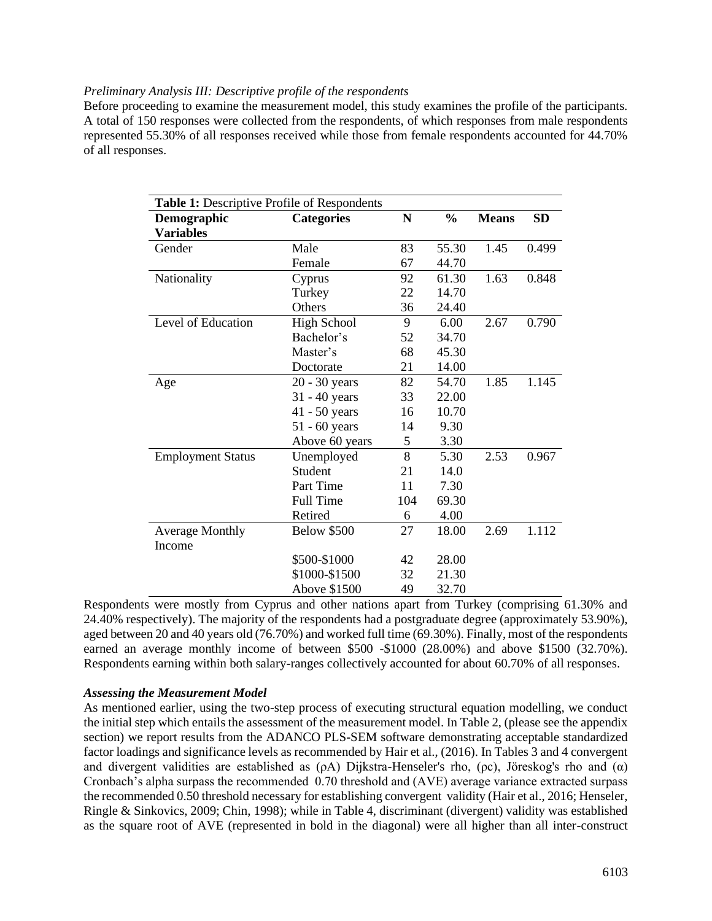#### *Preliminary Analysis III: Descriptive profile of the respondents*

Before proceeding to examine the measurement model, this study examines the profile of the participants. A total of 150 responses were collected from the respondents, of which responses from male respondents represented 55.30% of all responses received while those from female respondents accounted for 44.70% of all responses.

| Table 1: Descriptive Profile of Respondents |                     |           |               |              |           |
|---------------------------------------------|---------------------|-----------|---------------|--------------|-----------|
| Demographic                                 | <b>Categories</b>   | ${\bf N}$ | $\frac{0}{0}$ | <b>Means</b> | <b>SD</b> |
| <b>Variables</b>                            |                     |           |               |              |           |
| Gender                                      | Male                | 83        | 55.30         | 1.45         | 0.499     |
|                                             | Female              | 67        | 44.70         |              |           |
| Nationality                                 | Cyprus              | 92        | 61.30         | 1.63         | 0.848     |
|                                             | Turkey              | 22        | 14.70         |              |           |
|                                             | Others              | 36        | 24.40         |              |           |
| Level of Education                          | <b>High School</b>  | 9         | 6.00          | 2.67         | 0.790     |
|                                             | Bachelor's          | 52        | 34.70         |              |           |
|                                             | Master's            | 68        | 45.30         |              |           |
|                                             | Doctorate           | 21        | 14.00         |              |           |
| Age                                         | 20 - 30 years       | 82        | 54.70         | 1.85         | 1.145     |
|                                             | $31 - 40$ years     | 33        | 22.00         |              |           |
|                                             | $41 - 50$ years     | 16        | 10.70         |              |           |
|                                             | $51 - 60$ years     | 14        | 9.30          |              |           |
|                                             | Above 60 years      | 5         | 3.30          |              |           |
| <b>Employment Status</b>                    | Unemployed          | 8         | 5.30          | 2.53         | 0.967     |
|                                             | Student             | 21        | 14.0          |              |           |
|                                             | Part Time           | 11        | 7.30          |              |           |
|                                             | <b>Full Time</b>    | 104       | 69.30         |              |           |
|                                             | Retired             | 6         | 4.00          |              |           |
| <b>Average Monthly</b>                      | <b>Below \$500</b>  | 27        | 18.00         | 2.69         | 1.112     |
| Income                                      |                     |           |               |              |           |
|                                             | \$500-\$1000        | 42        | 28.00         |              |           |
|                                             | \$1000-\$1500       | 32        | 21.30         |              |           |
|                                             | <b>Above \$1500</b> | 49        | 32.70         |              |           |

Respondents were mostly from Cyprus and other nations apart from Turkey (comprising 61.30% and 24.40% respectively). The majority of the respondents had a postgraduate degree (approximately 53.90%), aged between 20 and 40 years old (76.70%) and worked full time (69.30%). Finally, most of the respondents earned an average monthly income of between \$500 -\$1000 (28.00%) and above \$1500 (32.70%). Respondents earning within both salary-ranges collectively accounted for about 60.70% of all responses.

### *Assessing the Measurement Model*

As mentioned earlier, using the two-step process of executing structural equation modelling, we conduct the initial step which entails the assessment of the measurement model. In Table 2, (please see the appendix section) we report results from the ADANCO PLS-SEM software demonstrating acceptable standardized factor loadings and significance levels as recommended by Hair et al., (2016). In Tables 3 and 4 convergent and divergent validities are established as  $(\rho A)$  Dijkstra-Henseler's rho,  $(\rho c)$ , Jöreskog's rho and  $(\alpha)$ Cronbach's alpha surpass the recommended 0.70 threshold and (AVE) average variance extracted surpass the recommended 0.50 threshold necessary for establishing convergent validity (Hair et al., 2016; Henseler, Ringle & Sinkovics, 2009; Chin, 1998); while in Table 4, discriminant (divergent) validity was established as the square root of AVE (represented in bold in the diagonal) were all higher than all inter-construct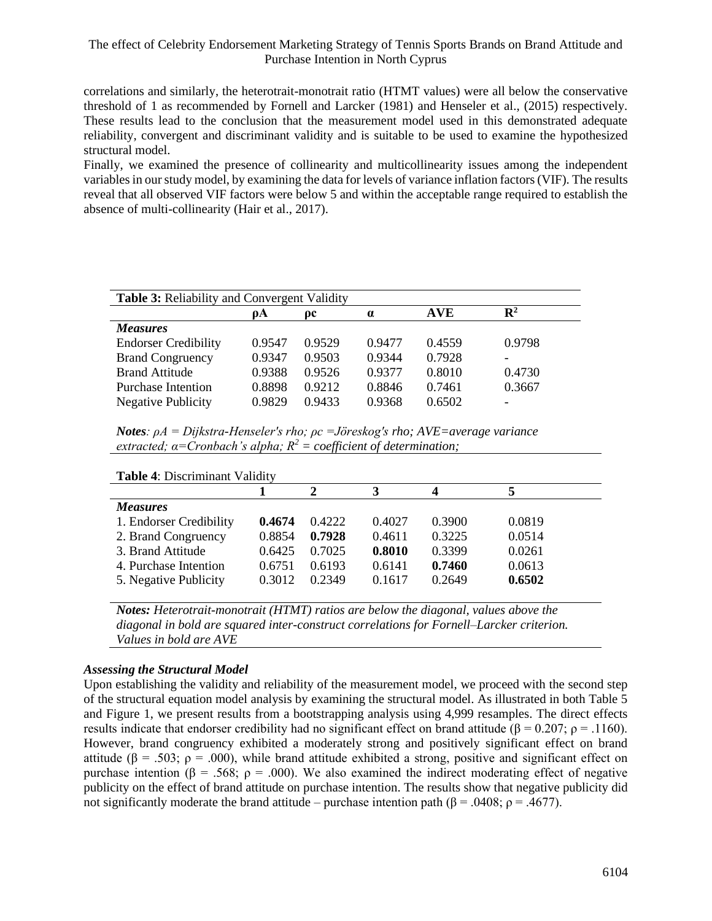correlations and similarly, the heterotrait-monotrait ratio (HTMT values) were all below the conservative threshold of 1 as recommended by Fornell and Larcker (1981) and Henseler et al., (2015) respectively. These results lead to the conclusion that the measurement model used in this demonstrated adequate reliability, convergent and discriminant validity and is suitable to be used to examine the hypothesized structural model.

Finally, we examined the presence of collinearity and multicollinearity issues among the independent variables in our study model, by examining the data for levels of variance inflation factors (VIF). The results reveal that all observed VIF factors were below 5 and within the acceptable range required to establish the absence of multi-collinearity (Hair et al., 2017).

| <b>Table 3: Reliability and Convergent Validity</b> |        |        |          |            |                |
|-----------------------------------------------------|--------|--------|----------|------------|----------------|
|                                                     | oА     | oс     | $\alpha$ | <b>AVE</b> | $\mathbf{R}^2$ |
| <b>Measures</b>                                     |        |        |          |            |                |
| <b>Endorser Credibility</b>                         | 0.9547 | 0.9529 | 0.9477   | 0.4559     | 0.9798         |
| <b>Brand Congruency</b>                             | 0.9347 | 0.9503 | 0.9344   | 0.7928     |                |
| <b>Brand Attitude</b>                               | 0.9388 | 0.9526 | 0.9377   | 0.8010     | 0.4730         |
| Purchase Intention                                  | 0.8898 | 0.9212 | 0.8846   | 0.7461     | 0.3667         |
| <b>Negative Publicity</b>                           | 0.9829 | 0.9433 | 0.9368   | 0.6502     |                |

*Notes: ρA = Dijkstra-Henseler's rho; ρc =Jöreskog's rho; AVE=average variance extracted; α=Cronbach's alpha; R<sup>2</sup> = coefficient of determination;* 

| <b>Table 4: Discriminant Validity</b> |        |        |        |        |  |  |
|---------------------------------------|--------|--------|--------|--------|--|--|
|                                       |        | 3      |        |        |  |  |
| <b>Measures</b>                       |        |        |        |        |  |  |
| 0.4674                                | 0.4222 | 0.4027 | 0.3900 | 0.0819 |  |  |
| 0.8854                                | 0.7928 | 0.4611 | 0.3225 | 0.0514 |  |  |
| 0.6425                                | 0.7025 | 0.8010 | 0.3399 | 0.0261 |  |  |
| 0.6751                                | 0.6193 | 0.6141 | 0.7460 | 0.0613 |  |  |
| 0.3012                                | 0.2349 | 0.1617 | 0.2649 | 0.6502 |  |  |
|                                       |        |        |        |        |  |  |

*Notes: Heterotrait-monotrait (HTMT) ratios are below the diagonal, values above the diagonal in bold are squared inter-construct correlations for Fornell–Larcker criterion. Values in bold are AVE*

### *Assessing the Structural Model*

Upon establishing the validity and reliability of the measurement model, we proceed with the second step of the structural equation model analysis by examining the structural model. As illustrated in both Table 5 and Figure 1, we present results from a bootstrapping analysis using 4,999 resamples. The direct effects results indicate that endorser credibility had no significant effect on brand attitude (β = 0.207; ρ = .1160). However, brand congruency exhibited a moderately strong and positively significant effect on brand attitude ( $\beta$  = .503;  $\rho$  = .000), while brand attitude exhibited a strong, positive and significant effect on purchase intention ( $\beta = .568$ ;  $\rho = .000$ ). We also examined the indirect moderating effect of negative publicity on the effect of brand attitude on purchase intention. The results show that negative publicity did not significantly moderate the brand attitude – purchase intention path (β = .0408; ρ = .4677).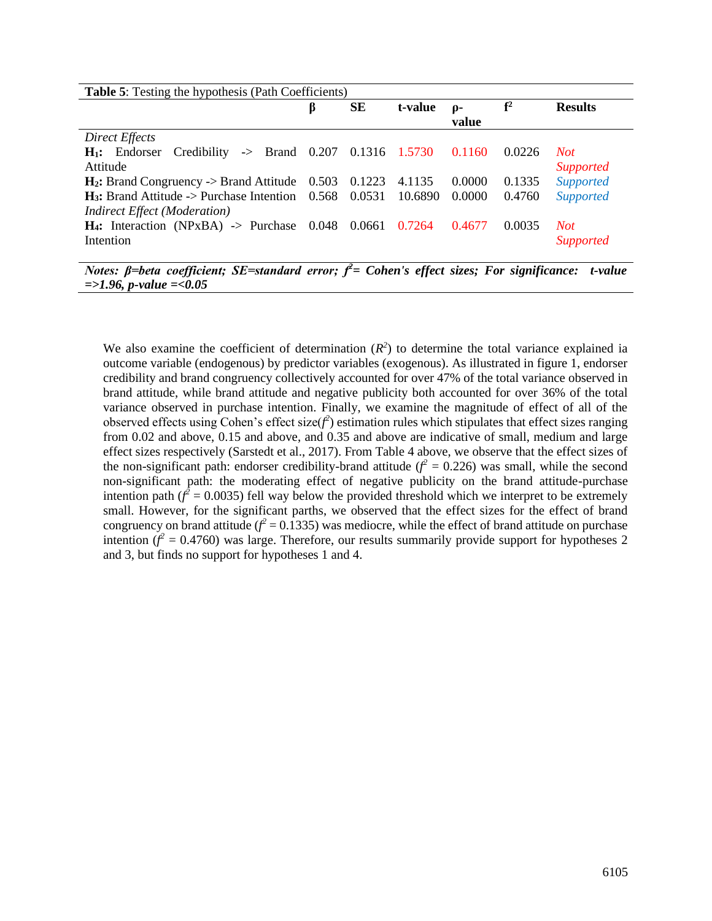| <b>Table 5:</b> Testing the hypothesis (Path Coefficients)                     |   |                             |                              |              |                |                  |
|--------------------------------------------------------------------------------|---|-----------------------------|------------------------------|--------------|----------------|------------------|
|                                                                                | p | SЕ                          | t-value                      | ρ-<br>value  | ${\bf f}^2$    | <b>Results</b>   |
| Direct Effects                                                                 |   |                             |                              |              |                |                  |
| $\rightarrow$ Brand 0.207 0.1316 1.5730<br>Credibility<br>$H_1$ : Endorser     |   |                             |                              | 0.1160       | 0.0226         | Not.             |
| Attitude                                                                       |   |                             |                              |              |                | <i>Supported</i> |
| $H_2$ : Brand Congruency -> Brand Attitude 0.503                               |   | 0.1223                      | 4.1135                       | 0.0000       | 0.1335         | <b>Supported</b> |
| $H_3$ : Brand Attitude -> Purchase Intention 0.568 0.0531                      |   |                             | 10.6890                      | 0.0000       | 0.4760         | <b>Supported</b> |
| <b>Indirect Effect (Moderation)</b>                                            |   |                             |                              |              |                |                  |
| $H_4$ : Interaction (NPxBA) -> Purchase 0.048                                  |   | 0.0661 0.7264               |                              | 0.4677       | 0.0035         | Not.             |
| Intention                                                                      |   |                             |                              |              |                | <b>Supported</b> |
| $\sim$<br>$\mathbf{r}$<br>$\sqrt{m}$ , $\sqrt{m}$<br>$\mathbf{a}$ $\mathbf{b}$ |   | $\partial$<br>$\sim$ $\sim$ | $\mathbf{e}$<br>$\mathbf{r}$ | $\mathbf{r}$ | $\cdot$ $\sim$ | $\sim$           |

*Notes: β=beta coefficient; SE=standard error; f<sup>2</sup>= Cohen's effect sizes; For significance: t-value =>1.96, p-value =<0.05*

We also examine the coefficient of determination  $(R^2)$  to determine the total variance explained ia outcome variable (endogenous) by predictor variables (exogenous). As illustrated in figure 1, endorser credibility and brand congruency collectively accounted for over 47% of the total variance observed in brand attitude, while brand attitude and negative publicity both accounted for over 36% of the total variance observed in purchase intention. Finally, we examine the magnitude of effect of all of the observed effects using Cohen's effect size( $f^2$ ) estimation rules which stipulates that effect sizes ranging from 0.02 and above, 0.15 and above, and 0.35 and above are indicative of small, medium and large effect sizes respectively (Sarstedt et al., 2017). From Table 4 above, we observe that the effect sizes of the non-significant path: endorser credibility-brand attitude  $(f^2 = 0.226)$  was small, while the second non-significant path: the moderating effect of negative publicity on the brand attitude-purchase intention path  $(f^2 = 0.0035)$  fell way below the provided threshold which we interpret to be extremely small. However, for the significant parths, we observed that the effect sizes for the effect of brand congruency on brand attitude ( $f^2$  = 0.1335) was mediocre, while the effect of brand attitude on purchase intention  $(f^2 = 0.4760)$  was large. Therefore, our results summarily provide support for hypotheses 2 and 3, but finds no support for hypotheses 1 and 4.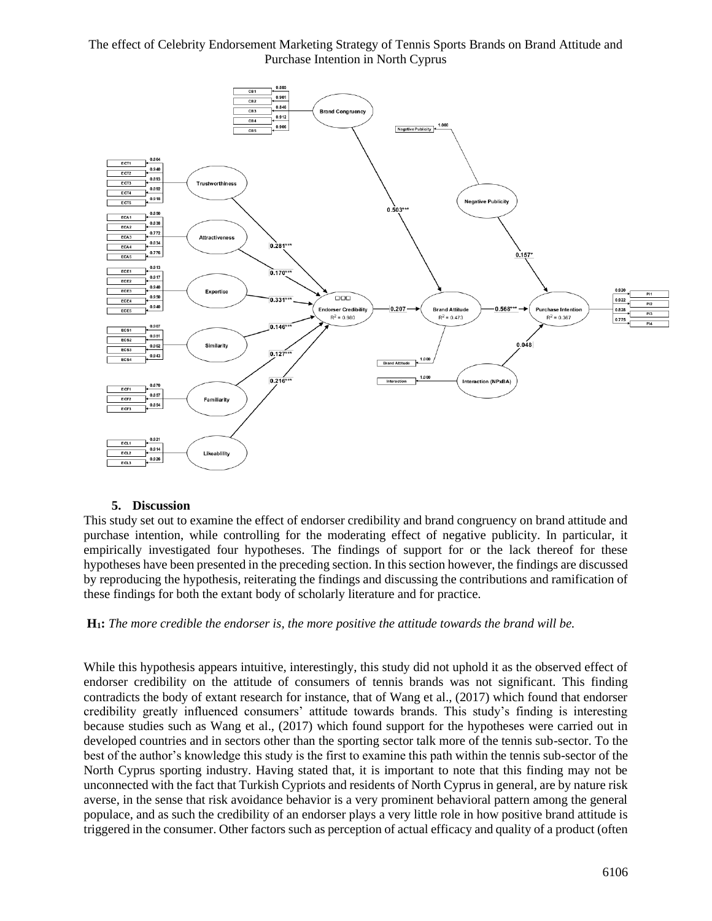

#### **5. Discussion**

This study set out to examine the effect of endorser credibility and brand congruency on brand attitude and purchase intention, while controlling for the moderating effect of negative publicity. In particular, it empirically investigated four hypotheses. The findings of support for or the lack thereof for these hypotheses have been presented in the preceding section. In this section however, the findings are discussed by reproducing the hypothesis, reiterating the findings and discussing the contributions and ramification of these findings for both the extant body of scholarly literature and for practice.

### **H1:** *The more credible the endorser is, the more positive the attitude towards the brand will be.*

While this hypothesis appears intuitive, interestingly, this study did not uphold it as the observed effect of endorser credibility on the attitude of consumers of tennis brands was not significant. This finding contradicts the body of extant research for instance, that of Wang et al., (2017) which found that endorser credibility greatly influenced consumers' attitude towards brands. This study's finding is interesting because studies such as Wang et al., (2017) which found support for the hypotheses were carried out in developed countries and in sectors other than the sporting sector talk more of the tennis sub-sector. To the best of the author's knowledge this study is the first to examine this path within the tennis sub-sector of the North Cyprus sporting industry. Having stated that, it is important to note that this finding may not be unconnected with the fact that Turkish Cypriots and residents of North Cyprus in general, are by nature risk averse, in the sense that risk avoidance behavior is a very prominent behavioral pattern among the general populace, and as such the credibility of an endorser plays a very little role in how positive brand attitude is triggered in the consumer. Other factors such as perception of actual efficacy and quality of a product (often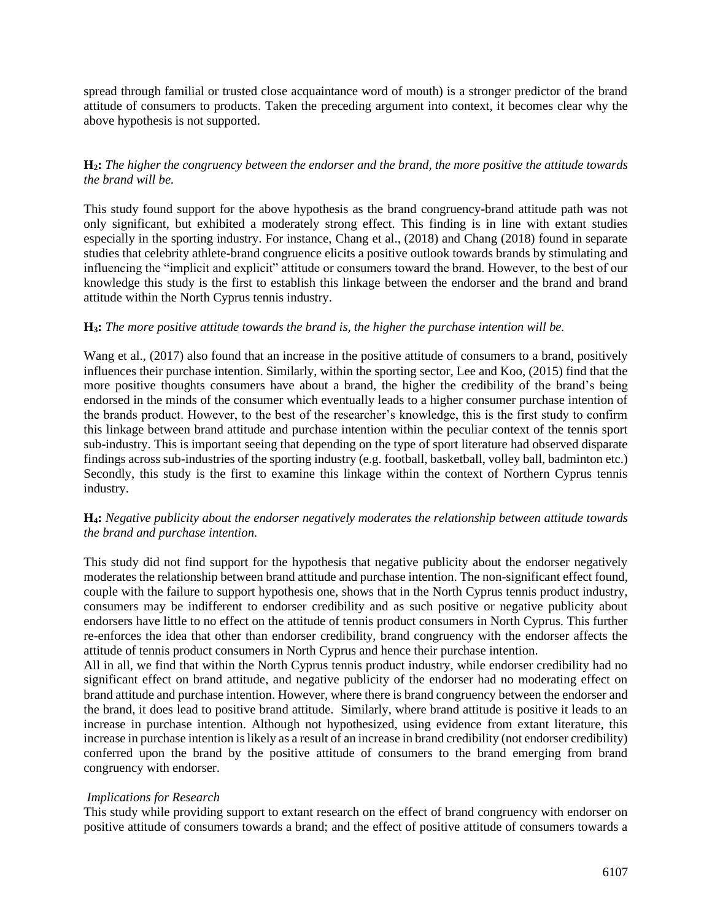spread through familial or trusted close acquaintance word of mouth) is a stronger predictor of the brand attitude of consumers to products. Taken the preceding argument into context, it becomes clear why the above hypothesis is not supported.

## **H2:** *The higher the congruency between the endorser and the brand, the more positive the attitude towards the brand will be.*

This study found support for the above hypothesis as the brand congruency-brand attitude path was not only significant, but exhibited a moderately strong effect. This finding is in line with extant studies especially in the sporting industry. For instance, Chang et al., (2018) and Chang (2018) found in separate studies that celebrity athlete-brand congruence elicits a positive outlook towards brands by stimulating and influencing the "implicit and explicit" attitude or consumers toward the brand. However, to the best of our knowledge this study is the first to establish this linkage between the endorser and the brand and brand attitude within the North Cyprus tennis industry.

### **H3:** *The more positive attitude towards the brand is, the higher the purchase intention will be.*

Wang et al., (2017) also found that an increase in the positive attitude of consumers to a brand, positively influences their purchase intention. Similarly, within the sporting sector, Lee and Koo, (2015) find that the more positive thoughts consumers have about a brand, the higher the credibility of the brand's being endorsed in the minds of the consumer which eventually leads to a higher consumer purchase intention of the brands product. However, to the best of the researcher's knowledge, this is the first study to confirm this linkage between brand attitude and purchase intention within the peculiar context of the tennis sport sub-industry. This is important seeing that depending on the type of sport literature had observed disparate findings across sub-industries of the sporting industry (e.g. football, basketball, volley ball, badminton etc.) Secondly, this study is the first to examine this linkage within the context of Northern Cyprus tennis industry.

### **H4:** *Negative publicity about the endorser negatively moderates the relationship between attitude towards the brand and purchase intention.*

This study did not find support for the hypothesis that negative publicity about the endorser negatively moderates the relationship between brand attitude and purchase intention. The non-significant effect found, couple with the failure to support hypothesis one, shows that in the North Cyprus tennis product industry, consumers may be indifferent to endorser credibility and as such positive or negative publicity about endorsers have little to no effect on the attitude of tennis product consumers in North Cyprus. This further re-enforces the idea that other than endorser credibility, brand congruency with the endorser affects the attitude of tennis product consumers in North Cyprus and hence their purchase intention.

All in all, we find that within the North Cyprus tennis product industry, while endorser credibility had no significant effect on brand attitude, and negative publicity of the endorser had no moderating effect on brand attitude and purchase intention. However, where there is brand congruency between the endorser and the brand, it does lead to positive brand attitude. Similarly, where brand attitude is positive it leads to an increase in purchase intention. Although not hypothesized, using evidence from extant literature, this increase in purchase intention is likely as a result of an increase in brand credibility (not endorser credibility) conferred upon the brand by the positive attitude of consumers to the brand emerging from brand congruency with endorser.

### *Implications for Research*

This study while providing support to extant research on the effect of brand congruency with endorser on positive attitude of consumers towards a brand; and the effect of positive attitude of consumers towards a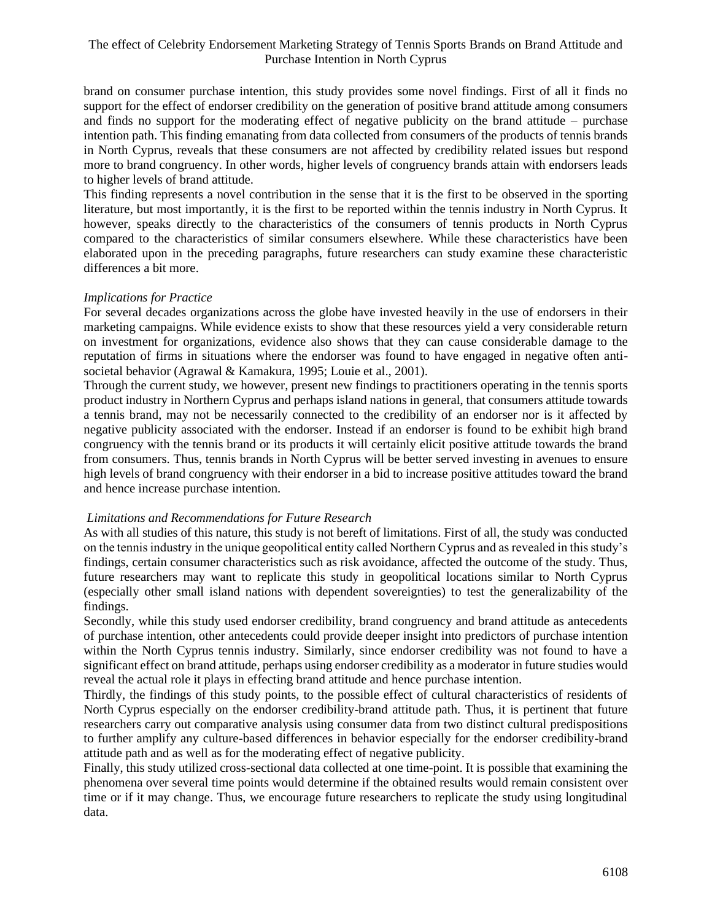brand on consumer purchase intention, this study provides some novel findings. First of all it finds no support for the effect of endorser credibility on the generation of positive brand attitude among consumers and finds no support for the moderating effect of negative publicity on the brand attitude – purchase intention path. This finding emanating from data collected from consumers of the products of tennis brands in North Cyprus, reveals that these consumers are not affected by credibility related issues but respond more to brand congruency. In other words, higher levels of congruency brands attain with endorsers leads to higher levels of brand attitude.

This finding represents a novel contribution in the sense that it is the first to be observed in the sporting literature, but most importantly, it is the first to be reported within the tennis industry in North Cyprus. It however, speaks directly to the characteristics of the consumers of tennis products in North Cyprus compared to the characteristics of similar consumers elsewhere. While these characteristics have been elaborated upon in the preceding paragraphs, future researchers can study examine these characteristic differences a bit more.

#### *Implications for Practice*

For several decades organizations across the globe have invested heavily in the use of endorsers in their marketing campaigns. While evidence exists to show that these resources yield a very considerable return on investment for organizations, evidence also shows that they can cause considerable damage to the reputation of firms in situations where the endorser was found to have engaged in negative often antisocietal behavior (Agrawal & Kamakura, 1995; Louie et al., 2001).

Through the current study, we however, present new findings to practitioners operating in the tennis sports product industry in Northern Cyprus and perhaps island nations in general, that consumers attitude towards a tennis brand, may not be necessarily connected to the credibility of an endorser nor is it affected by negative publicity associated with the endorser. Instead if an endorser is found to be exhibit high brand congruency with the tennis brand or its products it will certainly elicit positive attitude towards the brand from consumers. Thus, tennis brands in North Cyprus will be better served investing in avenues to ensure high levels of brand congruency with their endorser in a bid to increase positive attitudes toward the brand and hence increase purchase intention.

### *Limitations and Recommendations for Future Research*

As with all studies of this nature, this study is not bereft of limitations. First of all, the study was conducted on the tennis industry in the unique geopolitical entity called Northern Cyprus and as revealed in this study's findings, certain consumer characteristics such as risk avoidance, affected the outcome of the study. Thus, future researchers may want to replicate this study in geopolitical locations similar to North Cyprus (especially other small island nations with dependent sovereignties) to test the generalizability of the findings.

Secondly, while this study used endorser credibility, brand congruency and brand attitude as antecedents of purchase intention, other antecedents could provide deeper insight into predictors of purchase intention within the North Cyprus tennis industry. Similarly, since endorser credibility was not found to have a significant effect on brand attitude, perhaps using endorser credibility as a moderator in future studies would reveal the actual role it plays in effecting brand attitude and hence purchase intention.

Thirdly, the findings of this study points, to the possible effect of cultural characteristics of residents of North Cyprus especially on the endorser credibility-brand attitude path. Thus, it is pertinent that future researchers carry out comparative analysis using consumer data from two distinct cultural predispositions to further amplify any culture-based differences in behavior especially for the endorser credibility-brand attitude path and as well as for the moderating effect of negative publicity.

Finally, this study utilized cross-sectional data collected at one time-point. It is possible that examining the phenomena over several time points would determine if the obtained results would remain consistent over time or if it may change. Thus, we encourage future researchers to replicate the study using longitudinal data.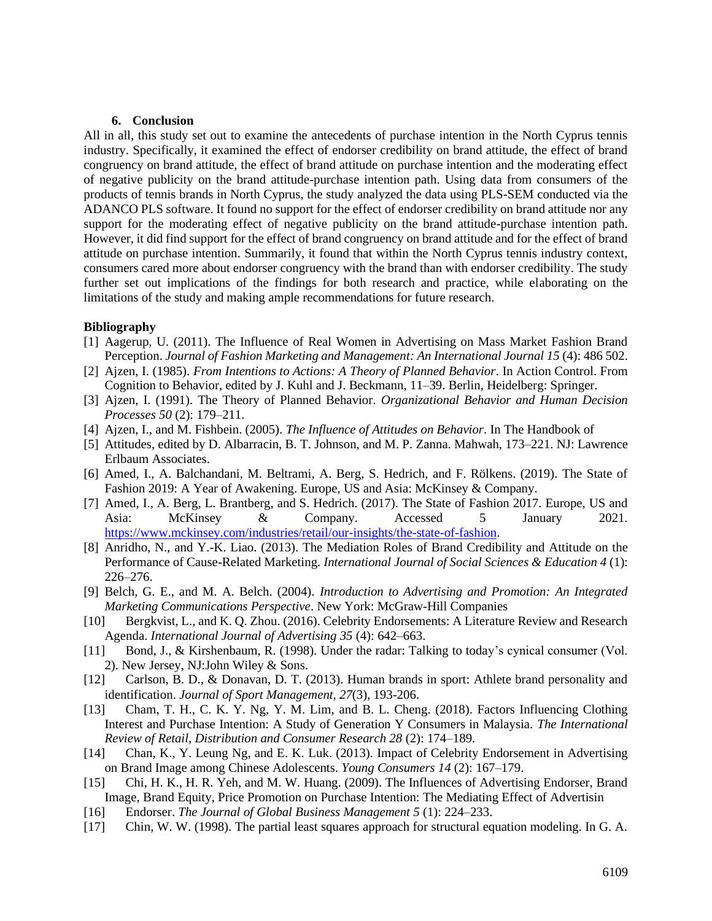#### **6. Conclusion**

All in all, this study set out to examine the antecedents of purchase intention in the North Cyprus tennis industry. Specifically, it examined the effect of endorser credibility on brand attitude, the effect of brand congruency on brand attitude, the effect of brand attitude on purchase intention and the moderating effect of negative publicity on the brand attitude-purchase intention path. Using data from consumers of the products of tennis brands in North Cyprus, the study analyzed the data using PLS-SEM conducted via the ADANCO PLS software. It found no support for the effect of endorser credibility on brand attitude nor any support for the moderating effect of negative publicity on the brand attitude-purchase intention path. However, it did find support for the effect of brand congruency on brand attitude and for the effect of brand attitude on purchase intention. Summarily, it found that within the North Cyprus tennis industry context, consumers cared more about endorser congruency with the brand than with endorser credibility. The study further set out implications of the findings for both research and practice, while elaborating on the limitations of the study and making ample recommendations for future research.

#### **Bibliography**

- [1] Aagerup, U. (2011). The Influence of Real Women in Advertising on Mass Market Fashion Brand Perception. *Journal of Fashion Marketing and Management: An International Journal 15* (4): 486 502.
- [2] Ajzen, I. (1985). *From Intentions to Actions: A Theory of Planned Behavior*. In Action Control. From Cognition to Behavior, edited by J. Kuhl and J. Beckmann, 11–39. Berlin, Heidelberg: Springer.
- [3] Ajzen, I. (1991). The Theory of Planned Behavior. *Organizational Behavior and Human Decision Processes 50* (2): 179–211.
- [4] Ajzen, I., and M. Fishbein. (2005). *The Influence of Attitudes on Behavior*. In The Handbook of
- [5] Attitudes, edited by D. Albarracin, B. T. Johnson, and M. P. Zanna. Mahwah, 173–221. NJ: Lawrence Erlbaum Associates.
- [6] Amed, I., A. Balchandani, M. Beltrami, A. Berg, S. Hedrich, and F. Rölkens. (2019). The State of Fashion 2019: A Year of Awakening. Europe, US and Asia: McKinsey & Company.
- [7] Amed, I., A. Berg, L. Brantberg, and S. Hedrich. (2017). The State of Fashion 2017. Europe, US and Asia: McKinsey & Company. Accessed 5 January 2021. [https://www.mckinsey.com/industries/retail/our-insights/the-state-of-fashion.](https://www.mckinsey.com/industries/retail/our-insights/the-state-of-fashion)
- [8] Anridho, N., and Y.-K. Liao. (2013). The Mediation Roles of Brand Credibility and Attitude on the Performance of Cause-Related Marketing. *International Journal of Social Sciences & Education 4* (1): 226–276.
- [9] Belch, G. E., and M. A. Belch. (2004). *Introduction to Advertising and Promotion: An Integrated Marketing Communications Perspective*. New York: McGraw-Hill Companies
- [10] Bergkvist, L., and K. Q. Zhou. (2016). Celebrity Endorsements: A Literature Review and Research Agenda. *International Journal of Advertising 35* (4): 642–663.
- [11] Bond, J., & Kirshenbaum, R. (1998). Under the radar: Talking to today's cynical consumer (Vol. 2). New Jersey, NJ:John Wiley & Sons.
- [12] Carlson, B. D., & Donavan, D. T. (2013). Human brands in sport: Athlete brand personality and identification. *Journal of Sport Management, 27*(3), 193-206.
- [13] Cham, T. H., C. K. Y. Ng, Y. M. Lim, and B. L. Cheng. (2018). Factors Influencing Clothing Interest and Purchase Intention: A Study of Generation Y Consumers in Malaysia. *The International Review of Retail, Distribution and Consumer Research 28* (2): 174–189.
- [14] Chan, K., Y. Leung Ng, and E. K. Luk. (2013). Impact of Celebrity Endorsement in Advertising on Brand Image among Chinese Adolescents. *Young Consumers 14* (2): 167–179.
- [15] Chi, H. K., H. R. Yeh, and M. W. Huang. (2009). The Influences of Advertising Endorser, Brand Image, Brand Equity, Price Promotion on Purchase Intention: The Mediating Effect of Advertisin
- [16] Endorser. *The Journal of Global Business Management 5* (1): 224–233.
- [17] Chin, W. W. (1998). The partial least squares approach for structural equation modeling. In G. A.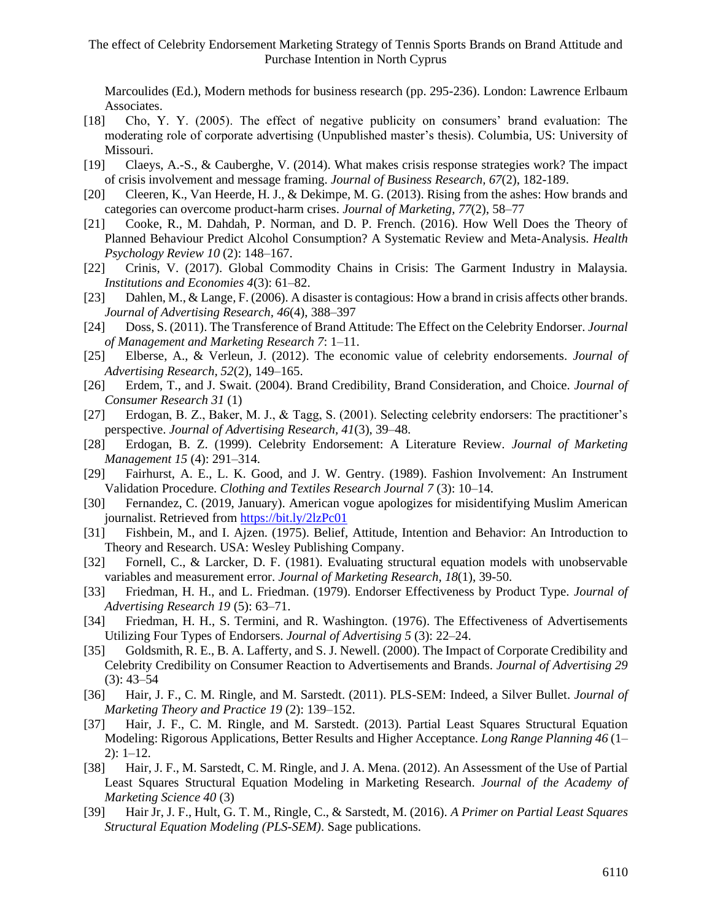Marcoulides (Ed.), Modern methods for business research (pp. 295-236). London: Lawrence Erlbaum Associates.

- [18] Cho, Y. Y. (2005). The effect of negative publicity on consumers' brand evaluation: The moderating role of corporate advertising (Unpublished master's thesis). Columbia, US: University of Missouri.
- [19] Claeys, A.-S., & Cauberghe, V. (2014). What makes crisis response strategies work? The impact of crisis involvement and message framing. *Journal of Business Research, 67*(2), 182-189.
- [20] Cleeren, K., Van Heerde, H. J., & Dekimpe, M. G. (2013). Rising from the ashes: How brands and categories can overcome product-harm crises. *Journal of Marketing, 77*(2), 58–77
- [21] Cooke, R., M. Dahdah, P. Norman, and D. P. French. (2016). How Well Does the Theory of Planned Behaviour Predict Alcohol Consumption? A Systematic Review and Meta-Analysis. *Health Psychology Review 10* (2): 148–167.
- [22] Crinis, V. (2017). Global Commodity Chains in Crisis: The Garment Industry in Malaysia. *Institutions and Economies 4*(3): 61–82.
- [23] Dahlen, M., & Lange, F. (2006). A disaster is contagious: How a brand in crisis affects other brands. *Journal of Advertising Research, 46*(4), 388–397
- [24] Doss, S. (2011). The Transference of Brand Attitude: The Effect on the Celebrity Endorser. *Journal of Management and Marketing Research 7*: 1–11.
- [25] Elberse, A., & Verleun, J. (2012). The economic value of celebrity endorsements. *Journal of Advertising Research, 52*(2), 149–165.
- [26] Erdem, T., and J. Swait. (2004). Brand Credibility, Brand Consideration, and Choice. *Journal of Consumer Research 31* (1)
- [27] Erdogan, B. Z., Baker, M. J., & Tagg, S. (2001). Selecting celebrity endorsers: The practitioner's perspective. *Journal of Advertising Research, 41*(3), 39–48.
- [28] Erdogan, B. Z. (1999). Celebrity Endorsement: A Literature Review. *Journal of Marketing Management 15* (4): 291–314.
- [29] Fairhurst, A. E., L. K. Good, and J. W. Gentry. (1989). Fashion Involvement: An Instrument Validation Procedure. *Clothing and Textiles Research Journal 7* (3): 10–14.
- [30] Fernandez, C. (2019, January). American vogue apologizes for misidentifying Muslim American journalist. Retrieved fro[m https://bit.ly/2lzPc01](https://bit.ly/2lzPc01)
- [31] Fishbein, M., and I. Ajzen. (1975). Belief, Attitude, Intention and Behavior: An Introduction to Theory and Research. USA: Wesley Publishing Company.
- [32] Fornell, C., & Larcker, D. F. (1981). Evaluating structural equation models with unobservable variables and measurement error. *Journal of Marketing Research*, *18*(1), 39-50.
- [33] Friedman, H. H., and L. Friedman. (1979). Endorser Effectiveness by Product Type. *Journal of Advertising Research 19* (5): 63–71.
- [34] Friedman, H. H., S. Termini, and R. Washington. (1976). The Effectiveness of Advertisements Utilizing Four Types of Endorsers. *Journal of Advertising 5* (3): 22–24.
- [35] Goldsmith, R. E., B. A. Lafferty, and S. J. Newell. (2000). The Impact of Corporate Credibility and Celebrity Credibility on Consumer Reaction to Advertisements and Brands. *Journal of Advertising 29*  (3): 43–54
- [36] Hair, J. F., C. M. Ringle, and M. Sarstedt. (2011). PLS-SEM: Indeed, a Silver Bullet. *Journal of Marketing Theory and Practice 19* (2): 139–152.
- [37] Hair, J. F., C. M. Ringle, and M. Sarstedt. (2013). Partial Least Squares Structural Equation Modeling: Rigorous Applications, Better Results and Higher Acceptance. *Long Range Planning 46* (1– 2): 1–12.
- [38] Hair, J. F., M. Sarstedt, C. M. Ringle, and J. A. Mena. (2012). An Assessment of the Use of Partial Least Squares Structural Equation Modeling in Marketing Research. *Journal of the Academy of Marketing Science 40* (3)
- [39] Hair Jr, J. F., Hult, G. T. M., Ringle, C., & Sarstedt, M. (2016). *A Primer on Partial Least Squares Structural Equation Modeling (PLS-SEM)*. Sage publications.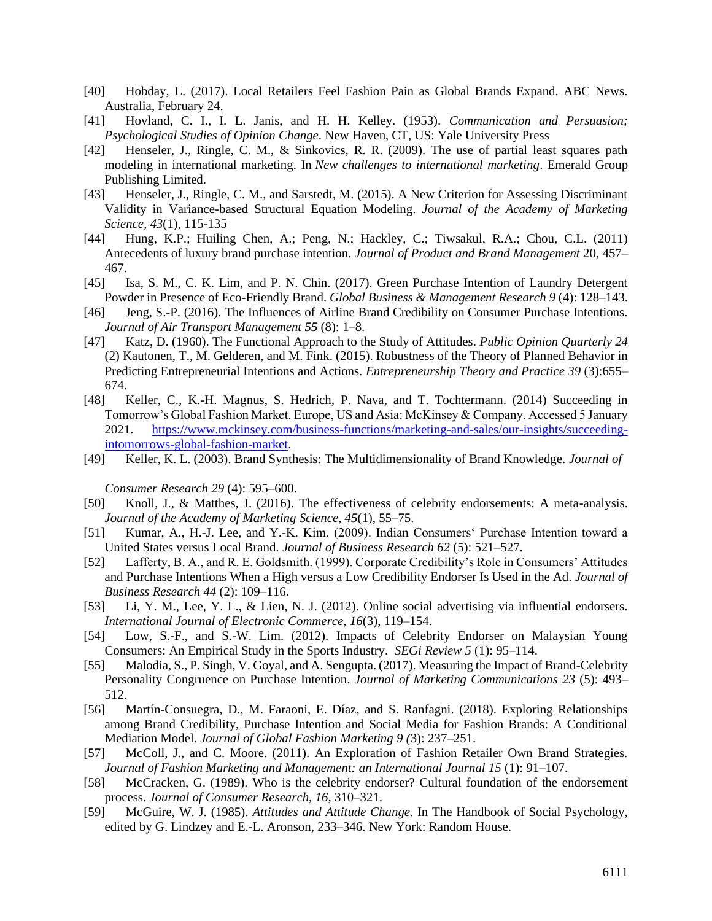- [40] Hobday, L. (2017). Local Retailers Feel Fashion Pain as Global Brands Expand. ABC News. Australia, February 24.
- [41] Hovland, C. I., I. L. Janis, and H. H. Kelley. (1953)*. Communication and Persuasion; Psychological Studies of Opinion Change*. New Haven, CT, US: Yale University Press
- [42] Henseler, J., Ringle, C. M., & Sinkovics, R. R. (2009). The use of partial least squares path modeling in international marketing. In *New challenges to international marketing*. Emerald Group Publishing Limited.
- [43] Henseler, J., Ringle, C. M., and Sarstedt, M. (2015). A New Criterion for Assessing Discriminant Validity in Variance-based Structural Equation Modeling. *Journal of the Academy of Marketing Science, 43*(1), 115-135
- [44] Hung, K.P.; Huiling Chen, A.; Peng, N.; Hackley, C.; Tiwsakul, R.A.; Chou, C.L. (2011) Antecedents of luxury brand purchase intention*. Journal of Product and Brand Management* 20, 457– 467.
- [45] Isa, S. M., C. K. Lim, and P. N. Chin. (2017). Green Purchase Intention of Laundry Detergent Powder in Presence of Eco-Friendly Brand. *Global Business & Management Research 9* (4): 128–143.
- [46] Jeng, S.-P. (2016). The Influences of Airline Brand Credibility on Consumer Purchase Intentions. *Journal of Air Transport Management 55* (8): 1–8.
- [47] Katz, D. (1960). The Functional Approach to the Study of Attitudes. *Public Opinion Quarterly 24* (2) Kautonen, T., M. Gelderen, and M. Fink. (2015). Robustness of the Theory of Planned Behavior in Predicting Entrepreneurial Intentions and Actions. *Entrepreneurship Theory and Practice 39* (3):655– 674.
- [48] Keller, C., K.-H. Magnus, S. Hedrich, P. Nava, and T. Tochtermann. (2014) Succeeding in Tomorrow's Global Fashion Market. Europe, US and Asia: McKinsey & Company. Accessed 5 January 2021. [https://www.mckinsey.com/business-functions/marketing-and-sales/our-insights/succeeding](https://www.mckinsey.com/business-functions/marketing-and-sales/our-insights/succeeding-intomorrows-global-fashion-market)[intomorrows-global-fashion-market.](https://www.mckinsey.com/business-functions/marketing-and-sales/our-insights/succeeding-intomorrows-global-fashion-market)
- [49] Keller, K. L. (2003). Brand Synthesis: The Multidimensionality of Brand Knowledge. *Journal of*

*Consumer Research 29* (4): 595–600.

- [50] Knoll, J., & Matthes, J. (2016). The effectiveness of celebrity endorsements: A meta-analysis. *Journal of the Academy of Marketing Science, 45*(1), 55–75.
- [51] Kumar, A., H.-J. Lee, and Y.-K. Kim. (2009). Indian Consumers' Purchase Intention toward a United States versus Local Brand. *Journal of Business Research 62* (5): 521–527.
- [52] Lafferty, B. A., and R. E. Goldsmith. (1999). Corporate Credibility's Role in Consumers' Attitudes and Purchase Intentions When a High versus a Low Credibility Endorser Is Used in the Ad. *Journal of Business Research 44* (2): 109–116.
- [53] Li, Y. M., Lee, Y. L., & Lien, N. J. (2012). Online social advertising via influential endorsers. *International Journal of Electronic Commerce, 16*(3), 119–154.
- [54] Low, S.-F., and S.-W. Lim. (2012). Impacts of Celebrity Endorser on Malaysian Young Consumers: An Empirical Study in the Sports Industry. *SEGi Review 5* (1): 95–114.
- [55] Malodia, S., P. Singh, V. Goyal, and A. Sengupta. (2017). Measuring the Impact of Brand-Celebrity Personality Congruence on Purchase Intention. *Journal of Marketing Communications 23* (5): 493– 512.
- [56] Martín-Consuegra, D., M. Faraoni, E. Díaz, and S. Ranfagni. (2018). Exploring Relationships among Brand Credibility, Purchase Intention and Social Media for Fashion Brands: A Conditional Mediation Model. *Journal of Global Fashion Marketing 9 (*3): 237–251.
- [57] McColl, J., and C. Moore. (2011). An Exploration of Fashion Retailer Own Brand Strategies. *Journal of Fashion Marketing and Management: an International Journal 15* (1): 91–107.
- [58] McCracken, G. (1989). Who is the celebrity endorser? Cultural foundation of the endorsement process. *Journal of Consumer Research, 16*, 310–321.
- [59] McGuire, W. J. (1985). *Attitudes and Attitude Change*. In The Handbook of Social Psychology, edited by G. Lindzey and E.-L. Aronson, 233–346. New York: Random House.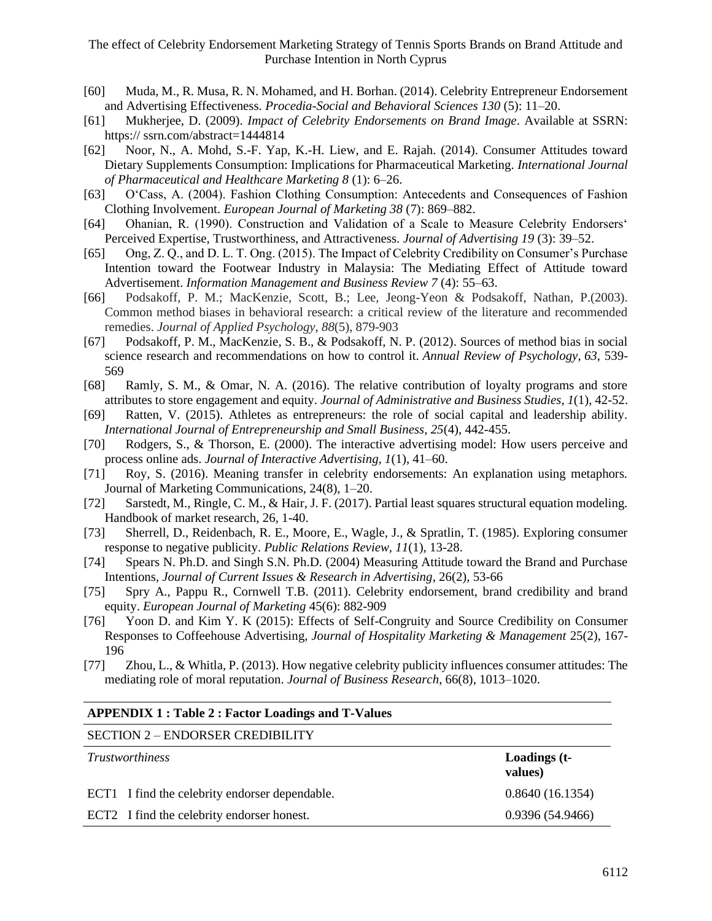- [60] Muda, M., R. Musa, R. N. Mohamed, and H. Borhan. (2014). Celebrity Entrepreneur Endorsement and Advertising Effectiveness. *Procedia-Social and Behavioral Sciences 130* (5): 11–20.
- [61] Mukherjee, D. (2009). *Impact of Celebrity Endorsements on Brand Image*. Available at SSRN: https:// ssrn.com/abstract=1444814
- [62] Noor, N., A. Mohd, S.-F. Yap, K.-H. Liew, and E. Rajah. (2014). Consumer Attitudes toward Dietary Supplements Consumption: Implications for Pharmaceutical Marketing. *International Journal of Pharmaceutical and Healthcare Marketing 8* (1): 6–26.
- [63] O'Cass, A. (2004). Fashion Clothing Consumption: Antecedents and Consequences of Fashion Clothing Involvement. *European Journal of Marketing 38* (7): 869–882.
- [64] Ohanian, R. (1990). Construction and Validation of a Scale to Measure Celebrity Endorsers' Perceived Expertise, Trustworthiness, and Attractiveness. *Journal of Advertising 19* (3): 39–52.
- [65] Ong, Z. Q., and D. L. T. Ong. (2015). The Impact of Celebrity Credibility on Consumer's Purchase Intention toward the Footwear Industry in Malaysia: The Mediating Effect of Attitude toward Advertisement. *Information Management and Business Review 7* (4): 55–63.
- [66] Podsakoff, P. M.; MacKenzie, Scott, B.; Lee, Jeong-Yeon & Podsakoff, Nathan, P.(2003). Common method biases in behavioral research: a critical review of the literature and recommended remedies. *Journal of Applied Psychology*, *88*(5), 879-903
- [67] Podsakoff, P. M., MacKenzie, S. B., & Podsakoff, N. P. (2012). Sources of method bias in social science research and recommendations on how to control it. *Annual Review of Psychology*, *63*, 539- 569
- [68] Ramly, S. M., & Omar, N. A. (2016). The relative contribution of loyalty programs and store attributes to store engagement and equity. *Journal of Administrative and Business Studies, 1*(1), 42-52.
- [69] Ratten, V. (2015). Athletes as entrepreneurs: the role of social capital and leadership ability. *International Journal of Entrepreneurship and Small Business, 25*(4), 442-455.
- [70] Rodgers, S., & Thorson, E. (2000). The interactive advertising model: How users perceive and process online ads. *Journal of Interactive Advertising, 1*(1), 41–60.
- [71] Roy, S. (2016). Meaning transfer in celebrity endorsements: An explanation using metaphors. Journal of Marketing Communications, 24(8), 1–20.
- [72] Sarstedt, M., Ringle, C. M., & Hair, J. F. (2017). Partial least squares structural equation modeling. Handbook of market research, 26, 1-40.
- [73] Sherrell, D., Reidenbach, R. E., Moore, E., Wagle, J., & Spratlin, T. (1985). Exploring consumer response to negative publicity. *Public Relations Review, 11*(1), 13-28.
- [74] Spears N. Ph.D. and Singh S.N. Ph.D. (2004) Measuring Attitude toward the Brand and Purchase Intentions*, Journal of Current Issues & Research in Advertising*, 26(2), 53-66
- [75] Spry A., Pappu R., Cornwell T.B. (2011). Celebrity endorsement, brand credibility and brand equity. *European Journal of Marketing* 45(6): 882-909
- [76] Yoon D. and Kim Y. K (2015): Effects of Self-Congruity and Source Credibility on Consumer Responses to Coffeehouse Advertising, *Journal of Hospitality Marketing & Management* 25(2), 167- 196
- [77] Zhou, L., & Whitla, P. (2013). How negative celebrity publicity influences consumer attitudes: The mediating role of moral reputation. *Journal of Business Research*, 66(8), 1013–1020.

#### **APPENDIX 1 : Table 2 : Factor Loadings and T-Values**

#### SECTION 2 – ENDORSER CREDIBILITY

| <i>Trustworthiness</i>                         | Loadings (t-<br>values) |
|------------------------------------------------|-------------------------|
| ECT1 I find the celebrity endorser dependable. | 0.8640(16.1354)         |
| ECT2 I find the celebrity endorser honest.     | 0.9396(54.9466)         |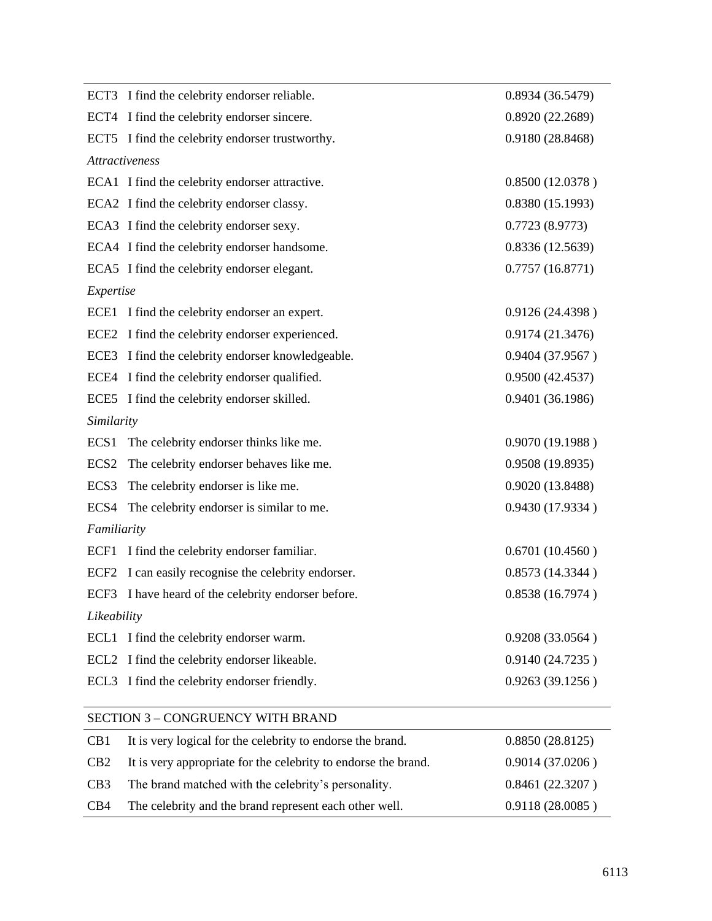|                  | ECT3 I find the celebrity endorser reliable.                   | 0.8934(36.5479)  |
|------------------|----------------------------------------------------------------|------------------|
|                  | ECT4 I find the celebrity endorser sincere.                    | 0.8920(22.2689)  |
|                  | ECT5 I find the celebrity endorser trustworthy.                | 0.9180 (28.8468) |
|                  | <b>Attractiveness</b>                                          |                  |
|                  | ECA1 I find the celebrity endorser attractive.                 | 0.8500(12.0378)  |
|                  | ECA2 I find the celebrity endorser classy.                     | 0.8380(15.1993)  |
|                  | ECA3 I find the celebrity endorser sexy.                       | 0.7723(8.9773)   |
|                  | ECA4 I find the celebrity endorser handsome.                   | 0.8336(12.5639)  |
|                  | ECA5 I find the celebrity endorser elegant.                    | 0.7757(16.8771)  |
| Expertise        |                                                                |                  |
|                  | ECE1 I find the celebrity endorser an expert.                  | 0.9126 (24.4398) |
|                  | ECE2 I find the celebrity endorser experienced.                | 0.9174 (21.3476) |
|                  | ECE3 I find the celebrity endorser knowledgeable.              | 0.9404 (37.9567) |
|                  | ECE4 I find the celebrity endorser qualified.                  | 0.9500(42.4537)  |
|                  | ECE5 I find the celebrity endorser skilled.                    | 0.9401 (36.1986) |
| Similarity       |                                                                |                  |
|                  | ECS1 The celebrity endorser thinks like me.                    | 0.9070(19.1988)  |
| ECS <sub>2</sub> | The celebrity endorser behaves like me.                        | 0.9508(19.8935)  |
| ECS3             | The celebrity endorser is like me.                             | 0.9020 (13.8488) |
| ECS4             | The celebrity endorser is similar to me.                       | 0.9430 (17.9334) |
| Familiarity      |                                                                |                  |
|                  | ECF1 I find the celebrity endorser familiar.                   | 0.6701(10.4560)  |
| ECF <sub>2</sub> | I can easily recognise the celebrity endorser.                 | 0.8573(14.3344)  |
| ECF3             | I have heard of the celebrity endorser before.                 | 0.8538(16.7974)  |
| Likeability      |                                                                |                  |
| ECL <sub>1</sub> | I find the celebrity endorser warm.                            | 0.9208 (33.0564) |
| ECL <sub>2</sub> | I find the celebrity endorser likeable.                        | 0.9140 (24.7235) |
| ECL <sub>3</sub> | I find the celebrity endorser friendly.                        | 0.9263(39.1256)  |
|                  |                                                                |                  |
|                  | <b>SECTION 3 - CONGRUENCY WITH BRAND</b>                       |                  |
| CB1              | It is very logical for the celebrity to endorse the brand.     | 0.8850(28.8125)  |
| CB2              | It is very appropriate for the celebrity to endorse the brand. | 0.9014(37.0206)  |

| C <sub>B</sub> 3 | The brand matched with the celebrity's personality.    | 0.8461(22.3207) |
|------------------|--------------------------------------------------------|-----------------|
| CB4              | The celebrity and the brand represent each other well. | 0.9118(28.0085) |